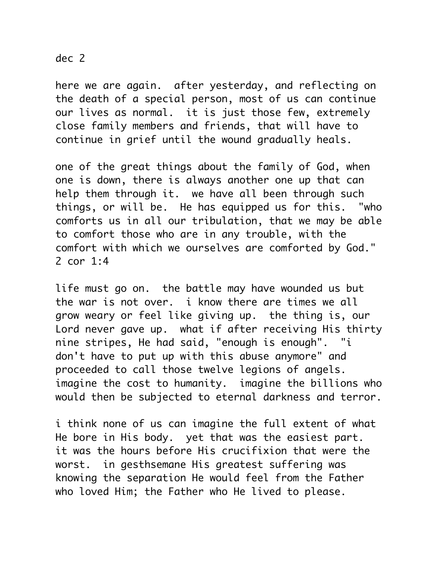## dec 2

here we are again. after yesterday, and reflecting on the death of a special person, most of us can continue our lives as normal. it is just those few, extremely close family members and friends, that will have to continue in grief until the wound gradually heals.

one of the great things about the family of God, when one is down, there is always another one up that can help them through it. we have all been through such things, or will be. He has equipped us for this. "who comforts us in all our tribulation, that we may be able to comfort those who are in any trouble, with the comfort with which we ourselves are comforted by God." 2 cor 1:4

life must go on. the battle may have wounded us but the war is not over. i know there are times we all grow weary or feel like giving up. the thing is, our Lord never gave up. what if after receiving His thirty nine stripes, He had said, "enough is enough". "i don't have to put up with this abuse anymore" and proceeded to call those twelve legions of angels. imagine the cost to humanity. imagine the billions who would then be subjected to eternal darkness and terror.

i think none of us can imagine the full extent of what He bore in His body. yet that was the easiest part. it was the hours before His crucifixion that were the worst. in gesthsemane His greatest suffering was knowing the separation He would feel from the Father who loved Him; the Father who He lived to please.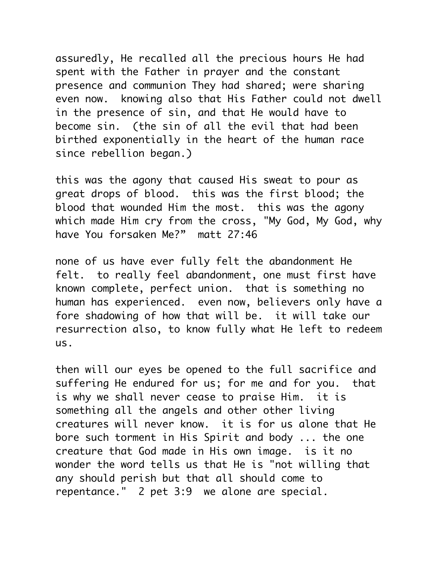assuredly, He recalled all the precious hours He had spent with the Father in prayer and the constant presence and communion They had shared; were sharing even now. knowing also that His Father could not dwell in the presence of sin, and that He would have to become sin. (the sin of all the evil that had been birthed exponentially in the heart of the human race since rebellion began.)

this was the agony that caused His sweat to pour as great drops of blood. this was the first blood; the blood that wounded Him the most. this was the agony which made Him cry from the cross, "My God, My God, why have You forsaken Me?" matt 27:46

none of us have ever fully felt the abandonment He felt. to really feel abandonment, one must first have known complete, perfect union. that is something no human has experienced. even now, believers only have a fore shadowing of how that will be. it will take our resurrection also, to know fully what He left to redeem us.

then will our eyes be opened to the full sacrifice and suffering He endured for us; for me and for you. that is why we shall never cease to praise Him. it is something all the angels and other other living creatures will never know. it is for us alone that He bore such torment in His Spirit and body ... the one creature that God made in His own image. is it no wonder the word tells us that He is "not willing that any should perish but that all should come to repentance." 2 pet 3:9 we alone are special.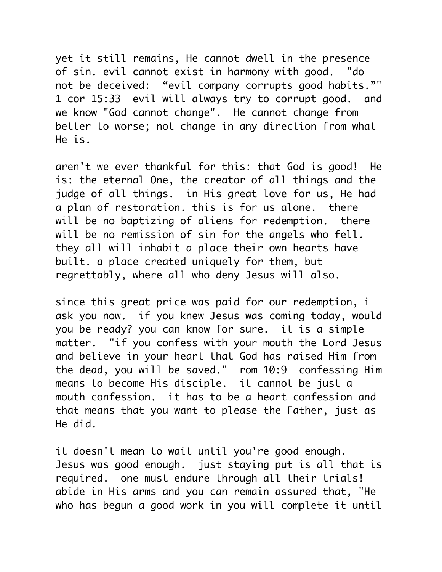yet it still remains, He cannot dwell in the presence of sin. evil cannot exist in harmony with good. "do not be deceived: "evil company corrupts good habits."" 1 cor 15:33 evil will always try to corrupt good. and we know "God cannot change". He cannot change from better to worse; not change in any direction from what He is.

aren't we ever thankful for this: that God is good! He is: the eternal One, the creator of all things and the judge of all things. in His great love for us, He had a plan of restoration. this is for us alone. there will be no baptizing of aliens for redemption. there will be no remission of sin for the angels who fell. they all will inhabit a place their own hearts have built. a place created uniquely for them, but regrettably, where all who deny Jesus will also.

since this great price was paid for our redemption, i ask you now. if you knew Jesus was coming today, would you be ready? you can know for sure. it is a simple matter. "if you confess with your mouth the Lord Jesus and believe in your heart that God has raised Him from the dead, you will be saved." rom 10:9 confessing Him means to become His disciple. it cannot be just a mouth confession. it has to be a heart confession and that means that you want to please the Father, just as He did.

it doesn't mean to wait until you're good enough. Jesus was good enough. just staying put is all that is required. one must endure through all their trials! abide in His arms and you can remain assured that, "He who has begun a good work in you will complete it until